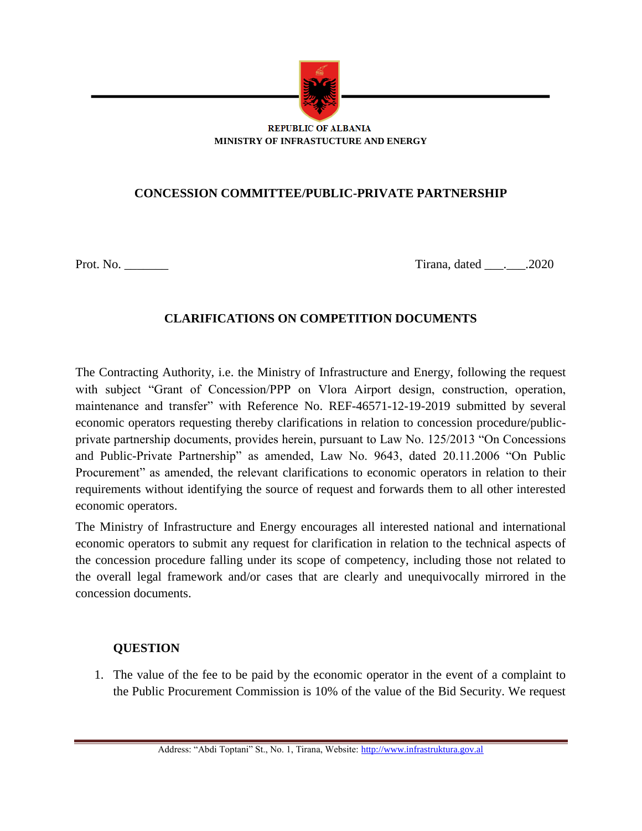

#### **REPUBLIC OF ALBANIA MINISTRY OF INFRASTUCTURE AND ENERGY**

# **CONCESSION COMMITTEE/PUBLIC-PRIVATE PARTNERSHIP**

Prot. No. \_\_\_\_\_\_\_ Tirana, dated \_\_\_.\_\_\_.2020

## **CLARIFICATIONS ON COMPETITION DOCUMENTS**

The Contracting Authority, i.e. the Ministry of Infrastructure and Energy, following the request with subject "Grant of Concession/PPP on Vlora Airport design, construction, operation, maintenance and transfer" with Reference No. REF-46571-12-19-2019 submitted by several economic operators requesting thereby clarifications in relation to concession procedure/publicprivate partnership documents, provides herein, pursuant to Law No. 125/2013 "On Concessions and Public-Private Partnership" as amended, Law No. 9643, dated 20.11.2006 "On Public Procurement" as amended, the relevant clarifications to economic operators in relation to their requirements without identifying the source of request and forwards them to all other interested economic operators.

The Ministry of Infrastructure and Energy encourages all interested national and international economic operators to submit any request for clarification in relation to the technical aspects of the concession procedure falling under its scope of competency, including those not related to the overall legal framework and/or cases that are clearly and unequivocally mirrored in the concession documents.

### **QUESTION**

1. The value of the fee to be paid by the economic operator in the event of a complaint to the Public Procurement Commission is 10% of the value of the Bid Security. We request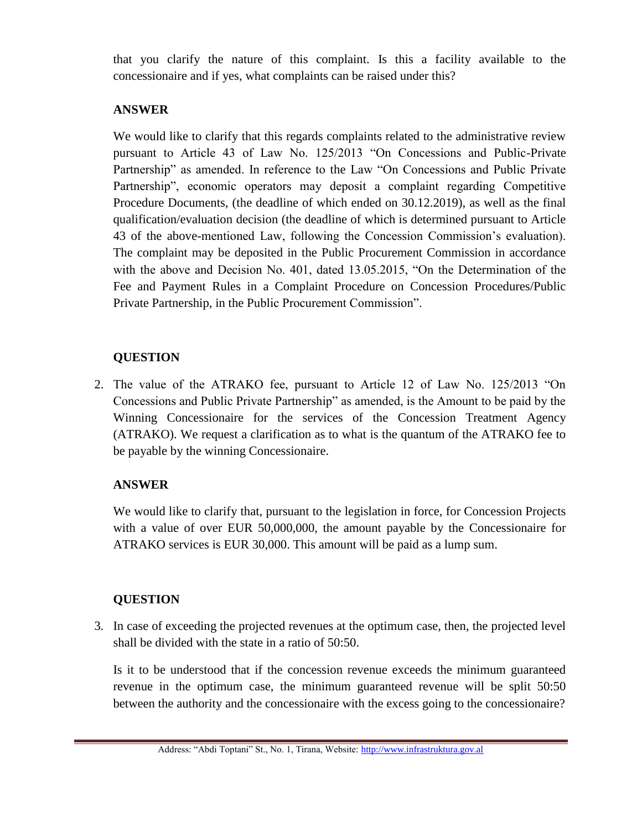that you clarify the nature of this complaint. Is this a facility available to the concessionaire and if yes, what complaints can be raised under this?

### **ANSWER**

We would like to clarify that this regards complaints related to the administrative review pursuant to Article 43 of Law No. 125/2013 "On Concessions and Public-Private Partnership" as amended. In reference to the Law "On Concessions and Public Private Partnership", economic operators may deposit a complaint regarding Competitive Procedure Documents, (the deadline of which ended on 30.12.2019), as well as the final qualification/evaluation decision (the deadline of which is determined pursuant to Article 43 of the above-mentioned Law, following the Concession Commission's evaluation). The complaint may be deposited in the Public Procurement Commission in accordance with the above and Decision No. 401, dated 13.05.2015, "On the Determination of the Fee and Payment Rules in a Complaint Procedure on Concession Procedures/Public Private Partnership, in the Public Procurement Commission".

## **QUESTION**

2. The value of the ATRAKO fee, pursuant to Article 12 of Law No. 125/2013 "On Concessions and Public Private Partnership" as amended, is the Amount to be paid by the Winning Concessionaire for the services of the Concession Treatment Agency (ATRAKO). We request a clarification as to what is the quantum of the ATRAKO fee to be payable by the winning Concessionaire.

# **ANSWER**

We would like to clarify that, pursuant to the legislation in force, for Concession Projects with a value of over EUR 50,000,000, the amount payable by the Concessionaire for ATRAKO services is EUR 30,000. This amount will be paid as a lump sum.

### **QUESTION**

3. In case of exceeding the projected revenues at the optimum case, then, the projected level shall be divided with the state in a ratio of 50:50.

Is it to be understood that if the concession revenue exceeds the minimum guaranteed revenue in the optimum case, the minimum guaranteed revenue will be split 50:50 between the authority and the concessionaire with the excess going to the concessionaire?

Address: "Abdi Toptani" St., No. 1, Tirana, Website[: http://www.infrastruktura.gov.al](http://www.infrastruktura.gov.al/)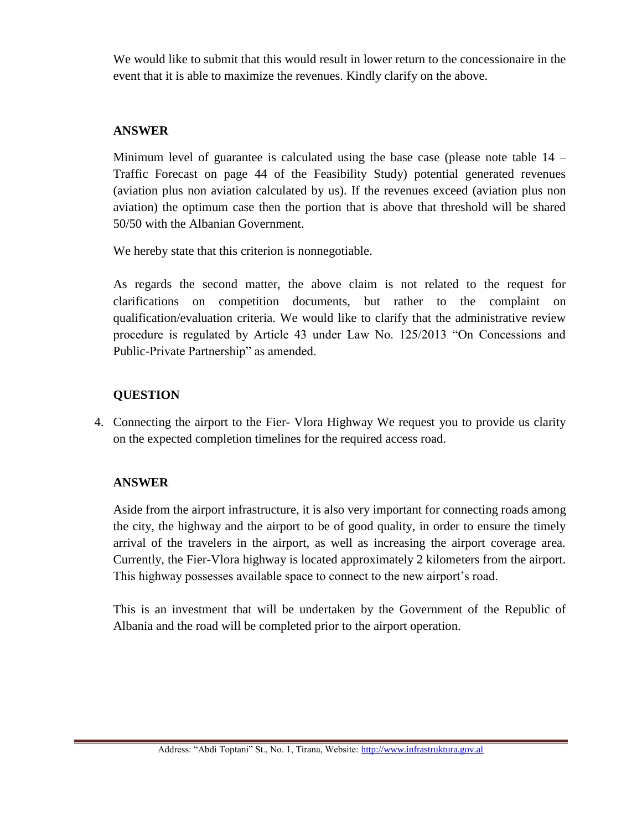We would like to submit that this would result in lower return to the concessionaire in the event that it is able to maximize the revenues. Kindly clarify on the above.

## **ANSWER**

Minimum level of guarantee is calculated using the base case (please note table  $14 -$ Traffic Forecast on page 44 of the Feasibility Study) potential generated revenues (aviation plus non aviation calculated by us). If the revenues exceed (aviation plus non aviation) the optimum case then the portion that is above that threshold will be shared 50/50 with the Albanian Government.

We hereby state that this criterion is nonnegotiable.

As regards the second matter, the above claim is not related to the request for clarifications on competition documents, but rather to the complaint on qualification/evaluation criteria. We would like to clarify that the administrative review procedure is regulated by Article 43 under Law No. 125/2013 "On Concessions and Public-Private Partnership" as amended.

# **QUESTION**

4. Connecting the airport to the Fier- Vlora Highway We request you to provide us clarity on the expected completion timelines for the required access road.

# **ANSWER**

Aside from the airport infrastructure, it is also very important for connecting roads among the city, the highway and the airport to be of good quality, in order to ensure the timely arrival of the travelers in the airport, as well as increasing the airport coverage area. Currently, the Fier-Vlora highway is located approximately 2 kilometers from the airport. This highway possesses available space to connect to the new airport's road.

This is an investment that will be undertaken by the Government of the Republic of Albania and the road will be completed prior to the airport operation.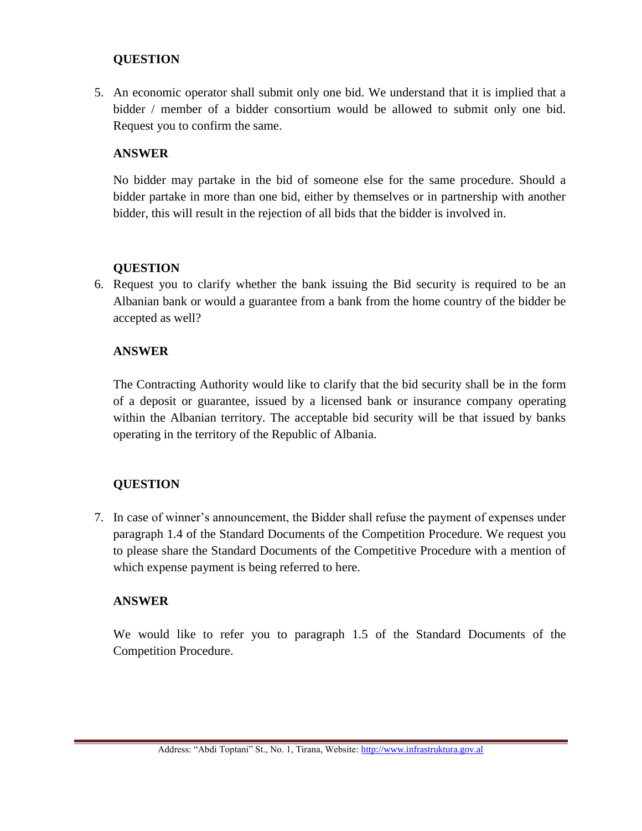5. An economic operator shall submit only one bid. We understand that it is implied that a bidder / member of a bidder consortium would be allowed to submit only one bid. Request you to confirm the same.

### **ANSWER**

No bidder may partake in the bid of someone else for the same procedure. Should a bidder partake in more than one bid, either by themselves or in partnership with another bidder, this will result in the rejection of all bids that the bidder is involved in.

### **QUESTION**

6. Request you to clarify whether the bank issuing the Bid security is required to be an Albanian bank or would a guarantee from a bank from the home country of the bidder be accepted as well?

### **ANSWER**

The Contracting Authority would like to clarify that the bid security shall be in the form of a deposit or guarantee, issued by a licensed bank or insurance company operating within the Albanian territory. The acceptable bid security will be that issued by banks operating in the territory of the Republic of Albania.

### **QUESTION**

7. In case of winner's announcement, the Bidder shall refuse the payment of expenses under paragraph 1.4 of the Standard Documents of the Competition Procedure. We request you to please share the Standard Documents of the Competitive Procedure with a mention of which expense payment is being referred to here.

#### **ANSWER**

We would like to refer you to paragraph 1.5 of the Standard Documents of the Competition Procedure.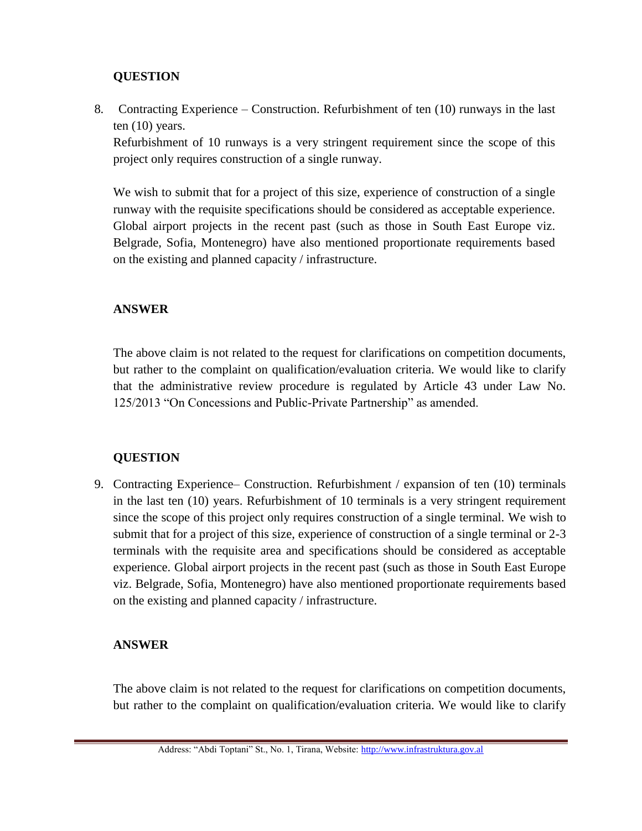8. Contracting Experience – Construction. Refurbishment of ten (10) runways in the last ten (10) years.

Refurbishment of 10 runways is a very stringent requirement since the scope of this project only requires construction of a single runway.

We wish to submit that for a project of this size, experience of construction of a single runway with the requisite specifications should be considered as acceptable experience. Global airport projects in the recent past (such as those in South East Europe viz. Belgrade, Sofia, Montenegro) have also mentioned proportionate requirements based on the existing and planned capacity / infrastructure.

## **ANSWER**

The above claim is not related to the request for clarifications on competition documents, but rather to the complaint on qualification/evaluation criteria. We would like to clarify that the administrative review procedure is regulated by Article 43 under Law No. 125/2013 "On Concessions and Public-Private Partnership" as amended.

### **QUESTION**

9. Contracting Experience– Construction. Refurbishment / expansion of ten (10) terminals in the last ten (10) years. Refurbishment of 10 terminals is a very stringent requirement since the scope of this project only requires construction of a single terminal. We wish to submit that for a project of this size, experience of construction of a single terminal or 2-3 terminals with the requisite area and specifications should be considered as acceptable experience. Global airport projects in the recent past (such as those in South East Europe viz. Belgrade, Sofia, Montenegro) have also mentioned proportionate requirements based on the existing and planned capacity / infrastructure.

### **ANSWER**

The above claim is not related to the request for clarifications on competition documents, but rather to the complaint on qualification/evaluation criteria. We would like to clarify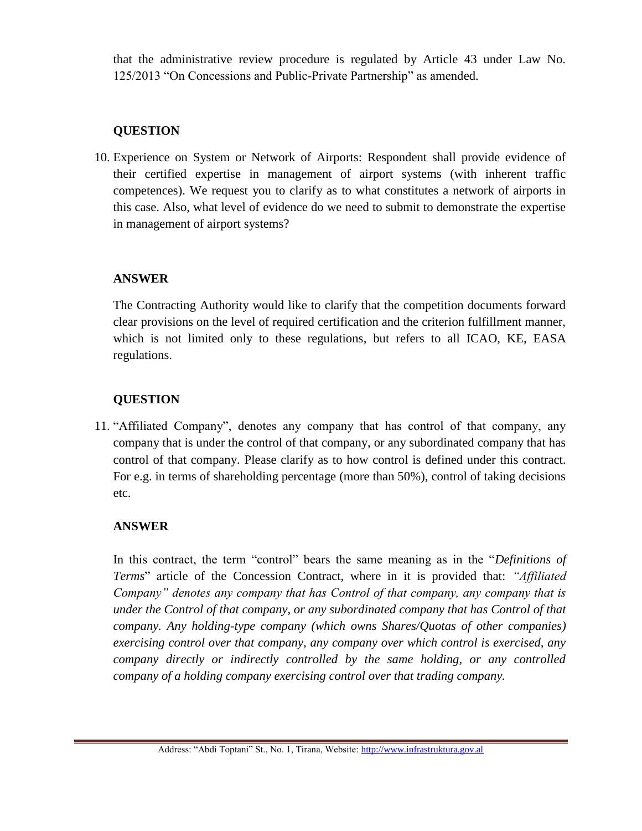that the administrative review procedure is regulated by Article 43 under Law No. 125/2013 "On Concessions and Public-Private Partnership" as amended.

## **QUESTION**

10. Experience on System or Network of Airports: Respondent shall provide evidence of their certified expertise in management of airport systems (with inherent traffic competences). We request you to clarify as to what constitutes a network of airports in this case. Also, what level of evidence do we need to submit to demonstrate the expertise in management of airport systems?

### **ANSWER**

The Contracting Authority would like to clarify that the competition documents forward clear provisions on the level of required certification and the criterion fulfillment manner, which is not limited only to these regulations, but refers to all ICAO, KE, EASA regulations.

# **QUESTION**

11. "Affiliated Company", denotes any company that has control of that company, any company that is under the control of that company, or any subordinated company that has control of that company. Please clarify as to how control is defined under this contract. For e.g. in terms of shareholding percentage (more than 50%), control of taking decisions etc.

# **ANSWER**

In this contract, the term "control" bears the same meaning as in the "*Definitions of Terms*" article of the Concession Contract, where in it is provided that: *"Affiliated Company" denotes any company that has Control of that company, any company that is under the Control of that company, or any subordinated company that has Control of that company. Any holding-type company (which owns Shares/Quotas of other companies) exercising control over that company, any company over which control is exercised, any company directly or indirectly controlled by the same holding, or any controlled company of a holding company exercising control over that trading company.*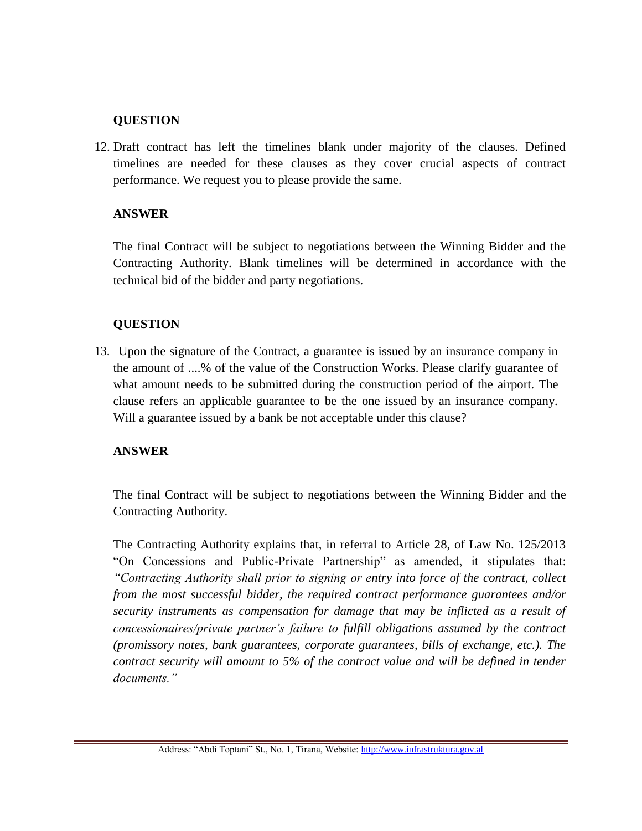12. Draft contract has left the timelines blank under majority of the clauses. Defined timelines are needed for these clauses as they cover crucial aspects of contract performance. We request you to please provide the same.

### **ANSWER**

The final Contract will be subject to negotiations between the Winning Bidder and the Contracting Authority. Blank timelines will be determined in accordance with the technical bid of the bidder and party negotiations.

### **QUESTION**

13. Upon the signature of the Contract, a guarantee is issued by an insurance company in the amount of ....% of the value of the Construction Works. Please clarify guarantee of what amount needs to be submitted during the construction period of the airport. The clause refers an applicable guarantee to be the one issued by an insurance company. Will a guarantee issued by a bank be not acceptable under this clause?

#### **ANSWER**

The final Contract will be subject to negotiations between the Winning Bidder and the Contracting Authority.

The Contracting Authority explains that, in referral to Article 28, of Law No. 125/2013 "On Concessions and Public-Private Partnership" as amended, it stipulates that: *"Contracting Authority shall prior to signing or entry into force of the contract, collect from the most successful bidder, the required contract performance guarantees and/or security instruments as compensation for damage that may be inflicted as a result of concessionaires/private partner's failure to fulfill obligations assumed by the contract (promissory notes, bank guarantees, corporate guarantees, bills of exchange, etc.). The contract security will amount to 5% of the contract value and will be defined in tender documents."*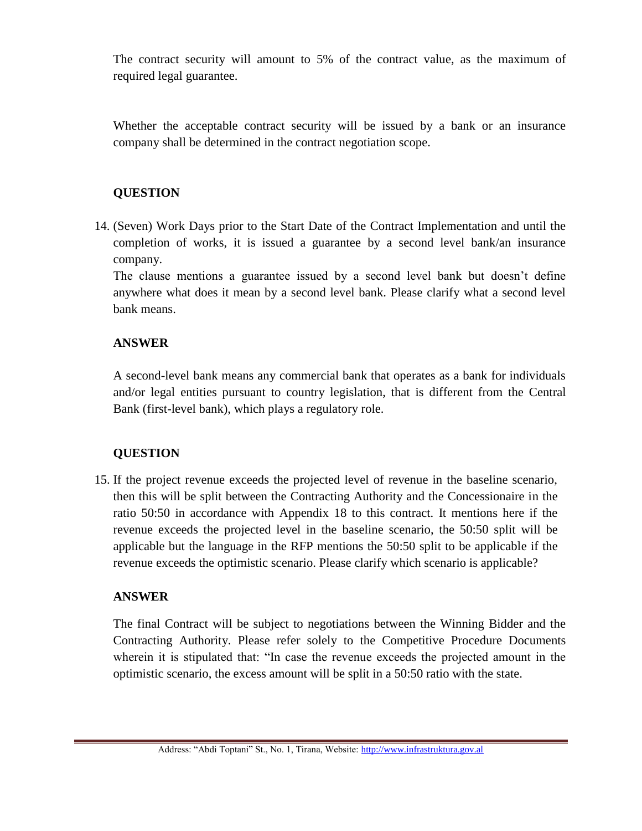The contract security will amount to 5% of the contract value, as the maximum of required legal guarantee.

Whether the acceptable contract security will be issued by a bank or an insurance company shall be determined in the contract negotiation scope.

### **QUESTION**

14. (Seven) Work Days prior to the Start Date of the Contract Implementation and until the completion of works, it is issued a guarantee by a second level bank/an insurance company.

The clause mentions a guarantee issued by a second level bank but doesn't define anywhere what does it mean by a second level bank. Please clarify what a second level bank means.

## **ANSWER**

A second-level bank means any commercial bank that operates as a bank for individuals and/or legal entities pursuant to country legislation, that is different from the Central Bank (first-level bank), which plays a regulatory role.

# **QUESTION**

15. If the project revenue exceeds the projected level of revenue in the baseline scenario, then this will be split between the Contracting Authority and the Concessionaire in the ratio 50:50 in accordance with Appendix 18 to this contract. It mentions here if the revenue exceeds the projected level in the baseline scenario, the 50:50 split will be applicable but the language in the RFP mentions the 50:50 split to be applicable if the revenue exceeds the optimistic scenario. Please clarify which scenario is applicable?

### **ANSWER**

The final Contract will be subject to negotiations between the Winning Bidder and the Contracting Authority. Please refer solely to the Competitive Procedure Documents wherein it is stipulated that: "In case the revenue exceeds the projected amount in the optimistic scenario, the excess amount will be split in a 50:50 ratio with the state.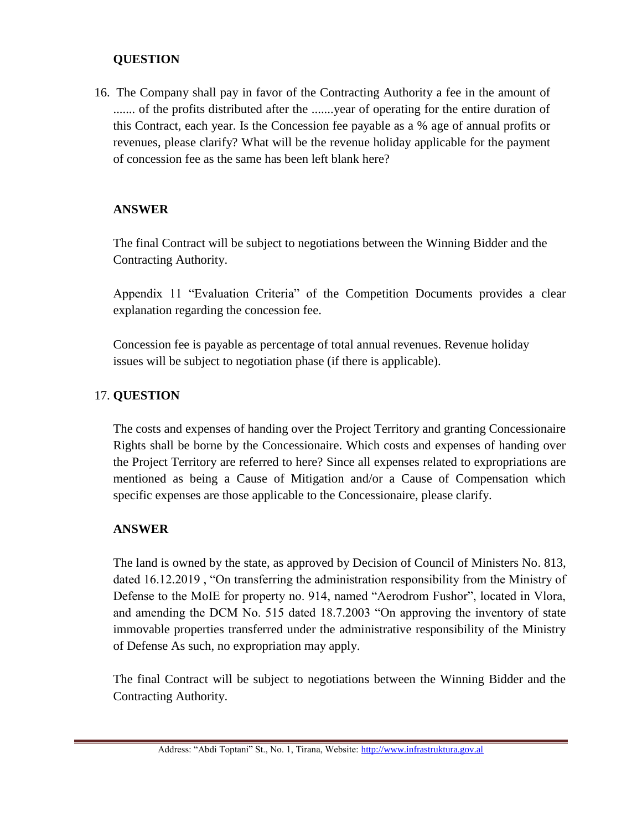16. The Company shall pay in favor of the Contracting Authority a fee in the amount of ....... of the profits distributed after the .......year of operating for the entire duration of this Contract, each year. Is the Concession fee payable as a % age of annual profits or revenues, please clarify? What will be the revenue holiday applicable for the payment of concession fee as the same has been left blank here?

### **ANSWER**

The final Contract will be subject to negotiations between the Winning Bidder and the Contracting Authority.

Appendix 11 "Evaluation Criteria" of the Competition Documents provides a clear explanation regarding the concession fee.

Concession fee is payable as percentage of total annual revenues. Revenue holiday issues will be subject to negotiation phase (if there is applicable).

### 17. **QUESTION**

The costs and expenses of handing over the Project Territory and granting Concessionaire Rights shall be borne by the Concessionaire. Which costs and expenses of handing over the Project Territory are referred to here? Since all expenses related to expropriations are mentioned as being a Cause of Mitigation and/or a Cause of Compensation which specific expenses are those applicable to the Concessionaire, please clarify.

#### **ANSWER**

The land is owned by the state, as approved by Decision of Council of Ministers No. 813, dated 16.12.2019 , "On transferring the administration responsibility from the Ministry of Defense to the MoIE for property no. 914, named "Aerodrom Fushor", located in Vlora, and amending the DCM No. 515 dated 18.7.2003 "On approving the inventory of state immovable properties transferred under the administrative responsibility of the Ministry of Defense As such, no expropriation may apply.

The final Contract will be subject to negotiations between the Winning Bidder and the Contracting Authority.

Address: "Abdi Toptani" St., No. 1, Tirana, Website[: http://www.infrastruktura.gov.al](http://www.infrastruktura.gov.al/)